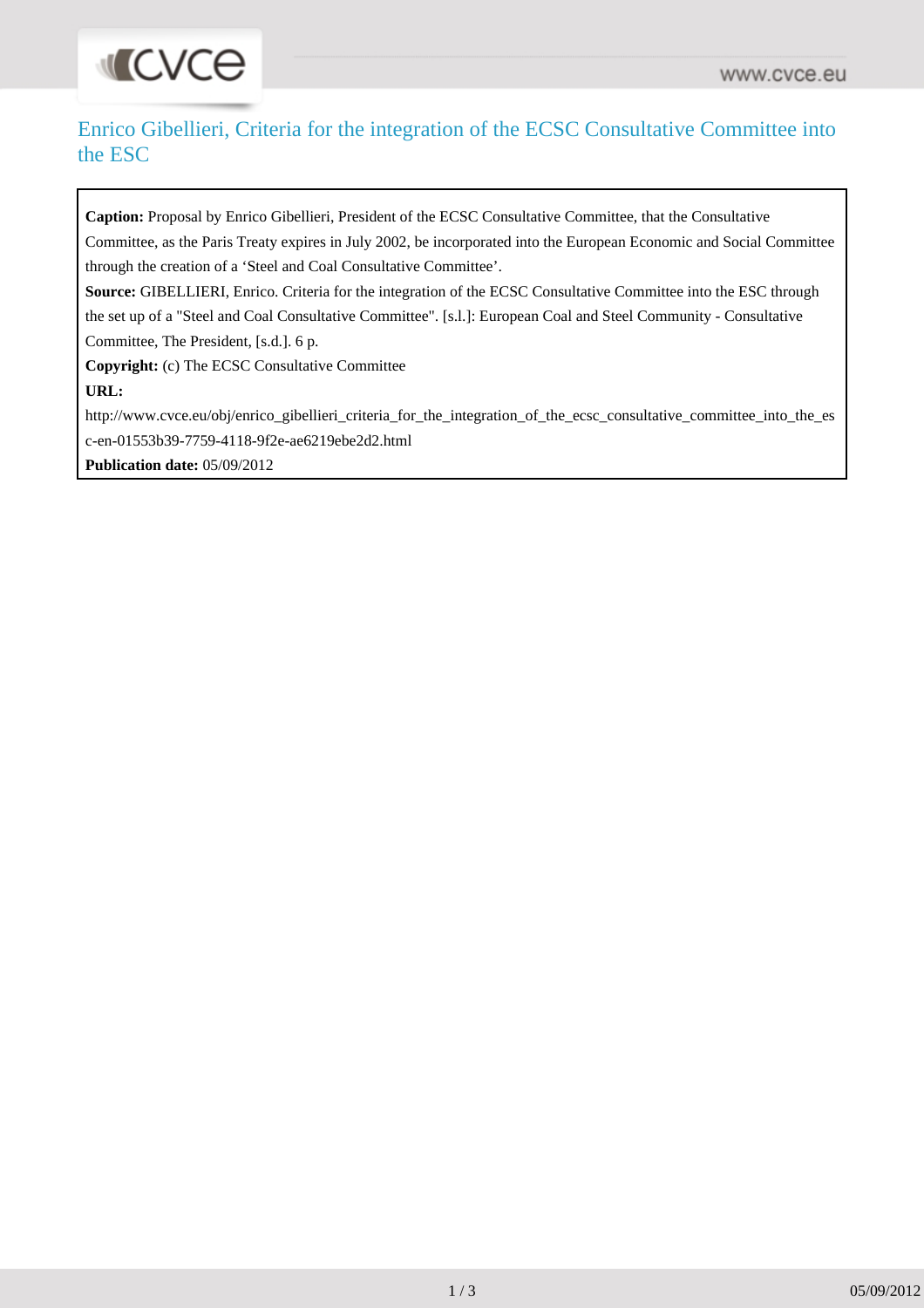# **INCACE**

## Enrico Gibellieri, Criteria for the integration of the ECSC Consultative Committee into the ESC

**Caption:** Proposal by Enrico Gibellieri, President of the ECSC Consultative Committee, that the Consultative Committee, as the Paris Treaty expires in July 2002, be incorporated into the European Economic and Social Committee through the creation of a 'Steel and Coal Consultative Committee'. **Source:** GIBELLIERI, Enrico. Criteria for the integration of the ECSC Consultative Committee into the ESC through the set up of a "Steel and Coal Consultative Committee". [s.l.]: European Coal and Steel Community - Consultative Committee, The President, [s.d.]. 6 p. **Copyright:** (c) The ECSC Consultative Committee **URL:** [http://www.cvce.eu/obj/enrico\\_gibellieri\\_criteria\\_for\\_the\\_integration\\_of\\_the\\_ecsc\\_consultative\\_committee\\_into\\_the\\_es](http://www.cvce.eu/obj/enrico_gibellieri_criteria_for_the_integration_of_the_ecsc_consultative_committee_into_the_esc-en-01553b39-7759-4118-9f2e-ae6219ebe2d2.html) [c-en-01553b39-7759-4118-9f2e-ae6219ebe2d2.html](http://www.cvce.eu/obj/enrico_gibellieri_criteria_for_the_integration_of_the_ecsc_consultative_committee_into_the_esc-en-01553b39-7759-4118-9f2e-ae6219ebe2d2.html)

**Publication date:** 05/09/2012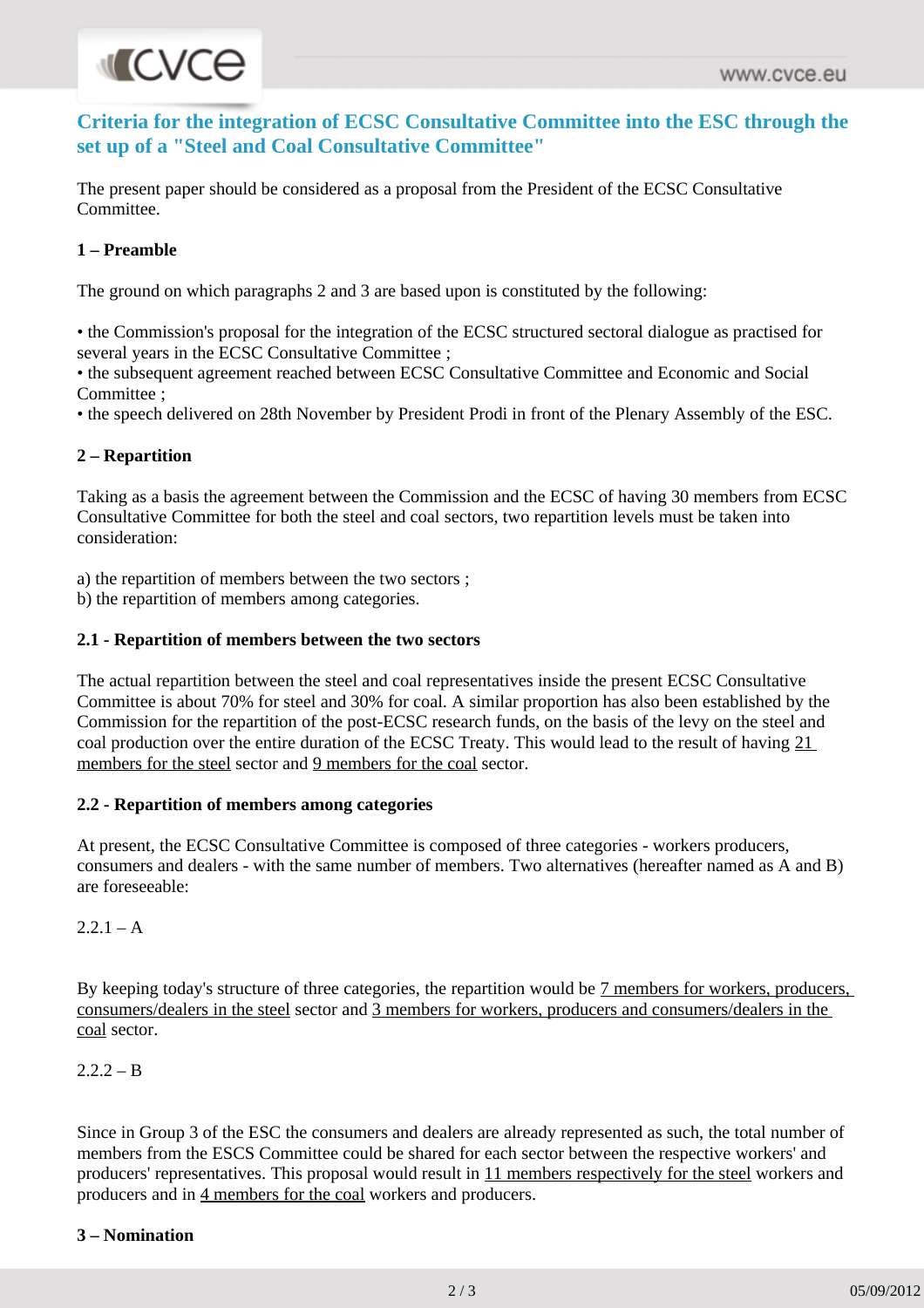# **MICVCE**

**Criteria for the integration of ECSC Consultative Committee into the ESC through the set up of a "Steel and Coal Consultative Committee"**

The present paper should be considered as a proposal from the President of the ECSC Consultative Committee.

### **1 – Preamble**

The ground on which paragraphs 2 and 3 are based upon is constituted by the following:

• the Commission's proposal for the integration of the ECSC structured sectoral dialogue as practised for several years in the ECSC Consultative Committee ;

• the subsequent agreement reached between ECSC Consultative Committee and Economic and Social Committee ;

• the speech delivered on 28th November by President Prodi in front of the Plenary Assembly of the ESC.

### **2 – Repartition**

Taking as a basis the agreement between the Commission and the ECSC of having 30 members from ECSC Consultative Committee for both the steel and coal sectors, two repartition levels must be taken into consideration:

a) the repartition of members between the two sectors ;

b) the repartition of members among categories.

### **2.1 - Repartition of members between the two sectors**

The actual repartition between the steel and coal representatives inside the present ECSC Consultative Committee is about 70% for steel and 30% for coal. A similar proportion has also been established by the Commission for the repartition of the post-ECSC research funds, on the basis of the levy on the steel and coal production over the entire duration of the ECSC Treaty. This would lead to the result of having 21 members for the steel sector and 9 members for the coal sector.

### **2.2 - Repartition of members among categories**

At present, the ECSC Consultative Committee is composed of three categories - workers producers, consumers and dealers - with the same number of members. Two alternatives (hereafter named as A and B) are foreseeable:

 $2.2.1 - A$ 

By keeping today's structure of three categories, the repartition would be 7 members for workers, producers, consumers/dealers in the steel sector and 3 members for workers, producers and consumers/dealers in the coal sector.

 $2.2 - B$ 

Since in Group 3 of the ESC the consumers and dealers are already represented as such, the total number of members from the ESCS Committee could be shared for each sector between the respective workers' and producers' representatives. This proposal would result in 11 members respectively for the steel workers and producers and in 4 members for the coal workers and producers.

### **3 – Nomination**